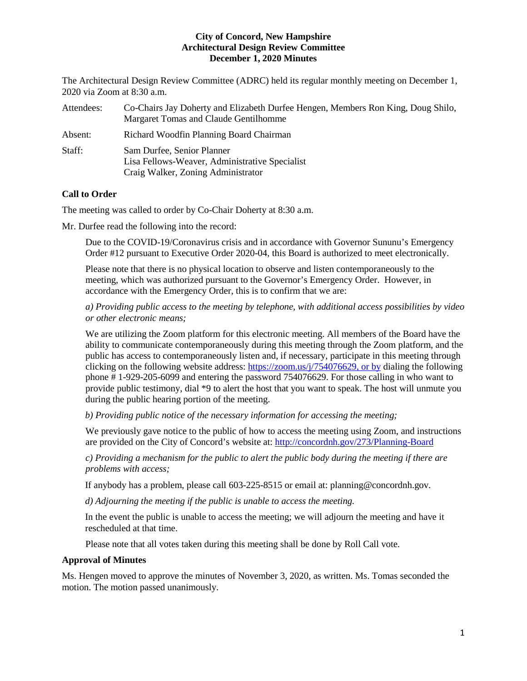The Architectural Design Review Committee (ADRC) held its regular monthly meeting on December 1, 2020 via Zoom at 8:30 a.m.

| Attendees: | Co-Chairs Jay Doherty and Elizabeth Durfee Hengen, Members Ron King, Doug Shilo,<br>Margaret Tomas and Claude Gentilhomme |
|------------|---------------------------------------------------------------------------------------------------------------------------|
| Absent:    | Richard Woodfin Planning Board Chairman                                                                                   |
| Staff:     | Sam Durfee, Senior Planner<br>Lisa Fellows-Weaver, Administrative Specialist<br>Craig Walker, Zoning Administrator        |

# **Call to Order**

The meeting was called to order by Co-Chair Doherty at 8:30 a.m.

Mr. Durfee read the following into the record:

Due to the COVID-19/Coronavirus crisis and in accordance with Governor Sununu's Emergency Order #12 pursuant to Executive Order 2020-04, this Board is authorized to meet electronically.

Please note that there is no physical location to observe and listen contemporaneously to the meeting, which was authorized pursuant to the Governor's Emergency Order. However, in accordance with the Emergency Order, this is to confirm that we are:

*a) Providing public access to the meeting by telephone, with additional access possibilities by video or other electronic means;* 

We are utilizing the Zoom platform for this electronic meeting. All members of the Board have the ability to communicate contemporaneously during this meeting through the Zoom platform, and the public has access to contemporaneously listen and, if necessary, participate in this meeting through clicking on the following website address: [https://zoom.us/j/754076629,](https://zoom.us/j/754076629) or by dialing the following phone # 1-929-205-6099 and entering the password 754076629. For those calling in who want to provide public testimony, dial \*9 to alert the host that you want to speak. The host will unmute you during the public hearing portion of the meeting.

*b) Providing public notice of the necessary information for accessing the meeting;*

We previously gave notice to the public of how to access the meeting using Zoom, and instructions are provided on the City of Concord's website at: <http://concordnh.gov/273/Planning-Board>

*c) Providing a mechanism for the public to alert the public body during the meeting if there are problems with access;* 

If anybody has a problem, please call 603-225-8515 or email at: planning@concordnh.gov.

*d) Adjourning the meeting if the public is unable to access the meeting.*

In the event the public is unable to access the meeting; we will adjourn the meeting and have it rescheduled at that time.

Please note that all votes taken during this meeting shall be done by Roll Call vote.

#### **Approval of Minutes**

Ms. Hengen moved to approve the minutes of November 3, 2020, as written. Ms. Tomas seconded the motion. The motion passed unanimously.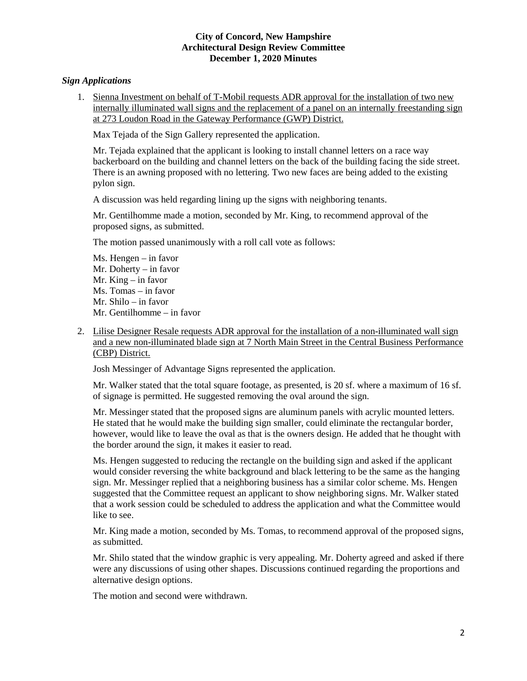# *Sign Applications*

1. Sienna Investment on behalf of T-Mobil requests ADR approval for the installation of two new internally illuminated wall signs and the replacement of a panel on an internally freestanding sign at 273 Loudon Road in the Gateway Performance (GWP) District.

Max Tejada of the Sign Gallery represented the application.

Mr. Tejada explained that the applicant is looking to install channel letters on a race way backerboard on the building and channel letters on the back of the building facing the side street. There is an awning proposed with no lettering. Two new faces are being added to the existing pylon sign.

A discussion was held regarding lining up the signs with neighboring tenants.

Mr. Gentilhomme made a motion, seconded by Mr. King, to recommend approval of the proposed signs, as submitted.

The motion passed unanimously with a roll call vote as follows:

Ms. Hengen – in favor Mr. Doherty – in favor Mr. King – in favor Ms. Tomas – in favor Mr. Shilo – in favor Mr. Gentilhomme – in favor

2. Lilise Designer Resale requests ADR approval for the installation of a non-illuminated wall sign and a new non-illuminated blade sign at 7 North Main Street in the Central Business Performance (CBP) District.

Josh Messinger of Advantage Signs represented the application.

Mr. Walker stated that the total square footage, as presented, is 20 sf. where a maximum of 16 sf. of signage is permitted. He suggested removing the oval around the sign.

Mr. Messinger stated that the proposed signs are aluminum panels with acrylic mounted letters. He stated that he would make the building sign smaller, could eliminate the rectangular border, however, would like to leave the oval as that is the owners design. He added that he thought with the border around the sign, it makes it easier to read.

Ms. Hengen suggested to reducing the rectangle on the building sign and asked if the applicant would consider reversing the white background and black lettering to be the same as the hanging sign. Mr. Messinger replied that a neighboring business has a similar color scheme. Ms. Hengen suggested that the Committee request an applicant to show neighboring signs. Mr. Walker stated that a work session could be scheduled to address the application and what the Committee would like to see.

Mr. King made a motion, seconded by Ms. Tomas, to recommend approval of the proposed signs, as submitted.

Mr. Shilo stated that the window graphic is very appealing. Mr. Doherty agreed and asked if there were any discussions of using other shapes. Discussions continued regarding the proportions and alternative design options.

The motion and second were withdrawn.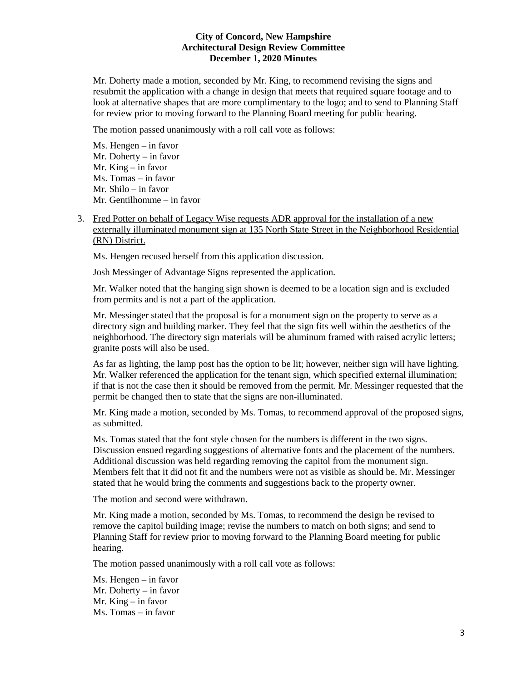Mr. Doherty made a motion, seconded by Mr. King, to recommend revising the signs and resubmit the application with a change in design that meets that required square footage and to look at alternative shapes that are more complimentary to the logo; and to send to Planning Staff for review prior to moving forward to the Planning Board meeting for public hearing.

The motion passed unanimously with a roll call vote as follows:

Ms. Hengen – in favor Mr. Doherty – in favor Mr. King – in favor Ms. Tomas – in favor Mr. Shilo – in favor Mr. Gentilhomme – in favor

3. Fred Potter on behalf of Legacy Wise requests ADR approval for the installation of a new externally illuminated monument sign at 135 North State Street in the Neighborhood Residential (RN) District.

Ms. Hengen recused herself from this application discussion.

Josh Messinger of Advantage Signs represented the application.

Mr. Walker noted that the hanging sign shown is deemed to be a location sign and is excluded from permits and is not a part of the application.

Mr. Messinger stated that the proposal is for a monument sign on the property to serve as a directory sign and building marker. They feel that the sign fits well within the aesthetics of the neighborhood. The directory sign materials will be aluminum framed with raised acrylic letters; granite posts will also be used.

As far as lighting, the lamp post has the option to be lit; however, neither sign will have lighting. Mr. Walker referenced the application for the tenant sign, which specified external illumination; if that is not the case then it should be removed from the permit. Mr. Messinger requested that the permit be changed then to state that the signs are non-illuminated.

Mr. King made a motion, seconded by Ms. Tomas, to recommend approval of the proposed signs, as submitted.

Ms. Tomas stated that the font style chosen for the numbers is different in the two signs. Discussion ensued regarding suggestions of alternative fonts and the placement of the numbers. Additional discussion was held regarding removing the capitol from the monument sign. Members felt that it did not fit and the numbers were not as visible as should be. Mr. Messinger stated that he would bring the comments and suggestions back to the property owner.

The motion and second were withdrawn.

Mr. King made a motion, seconded by Ms. Tomas, to recommend the design be revised to remove the capitol building image; revise the numbers to match on both signs; and send to Planning Staff for review prior to moving forward to the Planning Board meeting for public hearing.

The motion passed unanimously with a roll call vote as follows:

Ms. Hengen – in favor Mr. Doherty – in favor Mr. King – in favor Ms. Tomas – in favor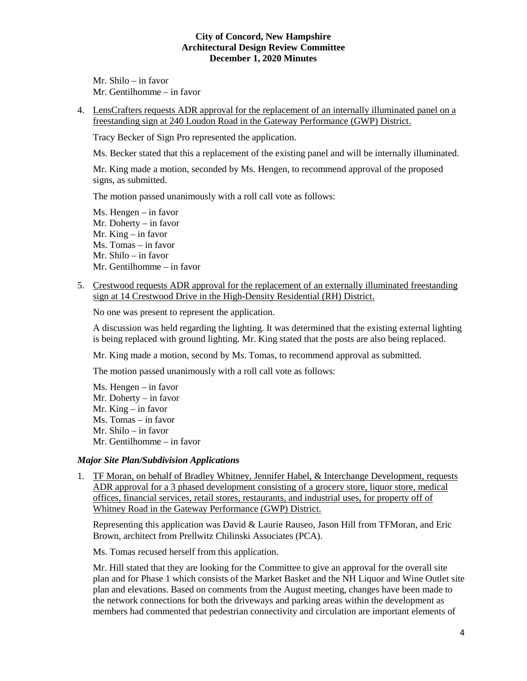Mr. Shilo – in favor Mr. Gentilhomme – in favor

4. LensCrafters requests ADR approval for the replacement of an internally illuminated panel on a freestanding sign at 240 Loudon Road in the Gateway Performance (GWP) District.

Tracy Becker of Sign Pro represented the application.

Ms. Becker stated that this a replacement of the existing panel and will be internally illuminated.

Mr. King made a motion, seconded by Ms. Hengen, to recommend approval of the proposed signs, as submitted.

The motion passed unanimously with a roll call vote as follows:

Ms. Hengen – in favor Mr. Doherty – in favor Mr. King – in favor Ms. Tomas – in favor Mr. Shilo – in favor Mr. Gentilhomme – in favor

5. Crestwood requests ADR approval for the replacement of an externally illuminated freestanding sign at 14 Crestwood Drive in the High-Density Residential (RH) District.

No one was present to represent the application.

A discussion was held regarding the lighting. It was determined that the existing external lighting is being replaced with ground lighting. Mr. King stated that the posts are also being replaced.

Mr. King made a motion, second by Ms. Tomas, to recommend approval as submitted.

The motion passed unanimously with a roll call vote as follows:

Ms. Hengen – in favor Mr. Doherty – in favor Mr. King – in favor Ms. Tomas – in favor Mr. Shilo – in favor Mr. Gentilhomme – in favor

#### *Major Site Plan/Subdivision Applications*

1. TF Moran, on behalf of Bradley Whitney, Jennifer Habel, & Interchange Development, requests ADR approval for a 3 phased development consisting of a grocery store, liquor store, medical offices, financial services, retail stores, restaurants, and industrial uses, for property off of Whitney Road in the Gateway Performance (GWP) District.

Representing this application was David & Laurie Rauseo, Jason Hill from TFMoran, and Eric Brown, architect from Prellwitz Chilinski Associates (PCA).

Ms. Tomas recused herself from this application.

Mr. Hill stated that they are looking for the Committee to give an approval for the overall site plan and for Phase 1 which consists of the Market Basket and the NH Liquor and Wine Outlet site plan and elevations. Based on comments from the August meeting, changes have been made to the network connections for both the driveways and parking areas within the development as members had commented that pedestrian connectivity and circulation are important elements of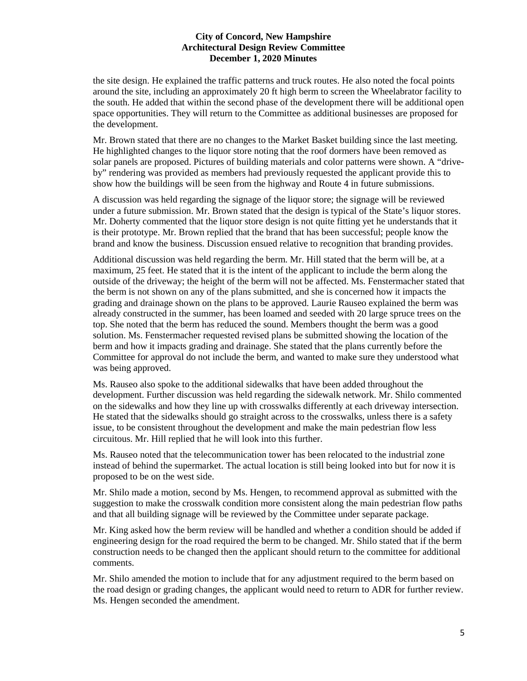the site design. He explained the traffic patterns and truck routes. He also noted the focal points around the site, including an approximately 20 ft high berm to screen the Wheelabrator facility to the south. He added that within the second phase of the development there will be additional open space opportunities. They will return to the Committee as additional businesses are proposed for the development.

Mr. Brown stated that there are no changes to the Market Basket building since the last meeting. He highlighted changes to the liquor store noting that the roof dormers have been removed as solar panels are proposed. Pictures of building materials and color patterns were shown. A "driveby" rendering was provided as members had previously requested the applicant provide this to show how the buildings will be seen from the highway and Route 4 in future submissions.

A discussion was held regarding the signage of the liquor store; the signage will be reviewed under a future submission. Mr. Brown stated that the design is typical of the State's liquor stores. Mr. Doherty commented that the liquor store design is not quite fitting yet he understands that it is their prototype. Mr. Brown replied that the brand that has been successful; people know the brand and know the business. Discussion ensued relative to recognition that branding provides.

Additional discussion was held regarding the berm. Mr. Hill stated that the berm will be, at a maximum, 25 feet. He stated that it is the intent of the applicant to include the berm along the outside of the driveway; the height of the berm will not be affected. Ms. Fenstermacher stated that the berm is not shown on any of the plans submitted, and she is concerned how it impacts the grading and drainage shown on the plans to be approved. Laurie Rauseo explained the berm was already constructed in the summer, has been loamed and seeded with 20 large spruce trees on the top. She noted that the berm has reduced the sound. Members thought the berm was a good solution. Ms. Fenstermacher requested revised plans be submitted showing the location of the berm and how it impacts grading and drainage. She stated that the plans currently before the Committee for approval do not include the berm, and wanted to make sure they understood what was being approved.

Ms. Rauseo also spoke to the additional sidewalks that have been added throughout the development. Further discussion was held regarding the sidewalk network. Mr. Shilo commented on the sidewalks and how they line up with crosswalks differently at each driveway intersection. He stated that the sidewalks should go straight across to the crosswalks, unless there is a safety issue, to be consistent throughout the development and make the main pedestrian flow less circuitous. Mr. Hill replied that he will look into this further.

Ms. Rauseo noted that the telecommunication tower has been relocated to the industrial zone instead of behind the supermarket. The actual location is still being looked into but for now it is proposed to be on the west side.

Mr. Shilo made a motion, second by Ms. Hengen, to recommend approval as submitted with the suggestion to make the crosswalk condition more consistent along the main pedestrian flow paths and that all building signage will be reviewed by the Committee under separate package.

Mr. King asked how the berm review will be handled and whether a condition should be added if engineering design for the road required the berm to be changed. Mr. Shilo stated that if the berm construction needs to be changed then the applicant should return to the committee for additional comments.

Mr. Shilo amended the motion to include that for any adjustment required to the berm based on the road design or grading changes, the applicant would need to return to ADR for further review. Ms. Hengen seconded the amendment.